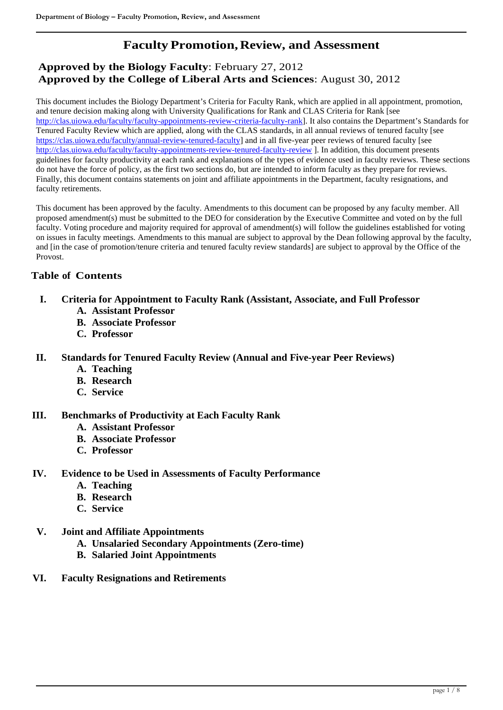# **Faculty Promotion,Review, and Assessment**

# **Approved by the Biology Faculty**: February 27, 2012 **Approved by the College of Liberal Arts and Sciences**: August 30, 2012

This document includes the Biology Department's Criteria for Faculty Rank, which are applied in all appointment, promotion, and tenure decision making along with University Qualifications for Rank and CLAS Criteria for Rank [see [http://clas.uiowa.edu/faculty/faculty-appointments-review-criteria-faculty-rank\]](http://clas.uiowa.edu/faculty/faculty-appointments-review-criteria-faculty-rank). It also contains the Department's Standards for Tenured Faculty Review which are applied, along with the CLAS standards, in all annual reviews of tenured faculty [see [https://clas.uiowa.edu/faculty/annual-review-tenured-faculty\]](https://clas.uiowa.edu/faculty/annual-review-tenured-faculty) and in all five-year peer reviews of tenured faculty [see <http://clas.uiowa.edu/faculty/faculty-appointments-review-tenured-faculty-review> ]. In addition, this document presents guidelines for faculty productivity at each rank and explanations of the types of evidence used in faculty reviews. These sections do not have the force of policy, as the first two sections do, but are intended to inform faculty as they prepare for reviews. Finally, this document contains statements on joint and affiliate appointments in the Department, faculty resignations, and faculty retirements.

This document has been approved by the faculty. Amendments to this document can be proposed by any faculty member. All proposed amendment(s) must be submitted to the DEO for consideration by the Executive Committee and voted on by the full faculty. Voting procedure and majority required for approval of amendment(s) will follow the guidelines established for voting on issues in faculty meetings. Amendments to this manual are subject to approval by the Dean following approval by the faculty, and [in the case of promotion/tenure criteria and tenured faculty review standards] are subject to approval by the Office of the Provost.

# **Table of Contents**

- **I. Criteria for Appointment to Faculty Rank (Assistant, Associate, and Full Professor**
	- **A. Assistant Professor**
	- **B. Associate Professor**
	- **C. Professor**
- **II. Standards for Tenured Faculty Review (Annual and Five-year Peer Reviews)**
	- **A. Teaching**
	- **B. Research**
	- **C. Service**

# **III. Benchmarks of Productivity at Each Faculty Rank**

- **A. Assistant Professor**
- **B. Associate Professor**
- **C. Professor**
- **IV. Evidence to be Used in Assessments of Faculty Performance**
	- **A. Teaching**
	- **B. Research**
	- **C. Service**
- **V. Joint and Affiliate Appointments**
	- **A. Unsalaried Secondary Appointments (Zero-time)**
	- **B. Salaried Joint Appointments**
- **VI. Faculty Resignations and Retirements**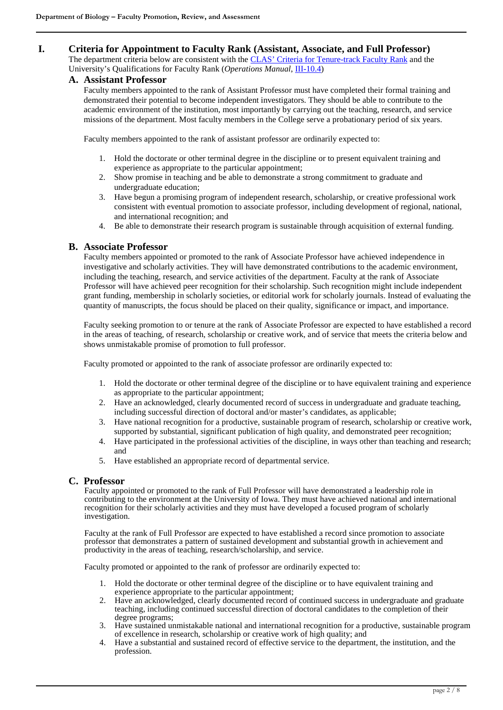### **I. Criteria for Appointment to Faculty Rank (Assistant, Associate, and Full Professor)**

The department criteria below are consistent with the [CLAS' Criteria for Tenure-track Faculty Rank](http://clas.uiowa.edu/faculty/faculty-appointments-review-criteria-faculty-rank) and the University's Qualifications for Faculty Rank (*Operations Manual*[, III-10.4\)](http://www.uiowa.edu/%7Eour/opmanual/iii/10.htm%23104)

#### **A. Assistant Professor**

Faculty members appointed to the rank of Assistant Professor must have completed their formal training and demonstrated their potential to become independent investigators. They should be able to contribute to the academic environment of the institution, most importantly by carrying out the teaching, research, and service missions of the department. Most faculty members in the College serve a probationary period of six years.

Faculty members appointed to the rank of assistant professor are ordinarily expected to:

- 1. Hold the doctorate or other terminal degree in the discipline or to present equivalent training and experience as appropriate to the particular appointment;
- 2. Show promise in teaching and be able to demonstrate a strong commitment to graduate and undergraduate education;
- 3. Have begun a promising program of independent research, scholarship, or creative professional work consistent with eventual promotion to associate professor, including development of regional, national, and international recognition; and
- 4. Be able to demonstrate their research program is sustainable through acquisition of external funding.

#### **B. Associate Professor**

Faculty members appointed or promoted to the rank of Associate Professor have achieved independence in investigative and scholarly activities. They will have demonstrated contributions to the academic environment, including the teaching, research, and service activities of the department. Faculty at the rank of Associate Professor will have achieved peer recognition for their scholarship. Such recognition might include independent grant funding, membership in scholarly societies, or editorial work for scholarly journals. Instead of evaluating the quantity of manuscripts, the focus should be placed on their quality, significance or impact, and importance.

Faculty seeking promotion to or tenure at the rank of Associate Professor are expected to have established a record in the areas of teaching, of research, scholarship or creative work, and of service that meets the criteria below and shows unmistakable promise of promotion to full professor.

Faculty promoted or appointed to the rank of associate professor are ordinarily expected to:

- 1. Hold the doctorate or other terminal degree of the discipline or to have equivalent training and experience as appropriate to the particular appointment;
- 2. Have an acknowledged, clearly documented record of success in undergraduate and graduate teaching, including successful direction of doctoral and/or master's candidates, as applicable;
- 3. Have national recognition for a productive, sustainable program of research, scholarship or creative work, supported by substantial, significant publication of high quality, and demonstrated peer recognition;
- 4. Have participated in the professional activities of the discipline, in ways other than teaching and research; and
- 5. Have established an appropriate record of departmental service.

### **C. Professor**

Faculty appointed or promoted to the rank of Full Professor will have demonstrated a leadership role in contributing to the environment at the University of Iowa. They must have achieved national and international recognition for their scholarly activities and they must have developed a focused program of scholarly investigation.

Faculty at the rank of Full Professor are expected to have established a record since promotion to associate professor that demonstrates a pattern of sustained development and substantial growth in achievement and productivity in the areas of teaching, research/scholarship, and service.

Faculty promoted or appointed to the rank of professor are ordinarily expected to:

- 1. Hold the doctorate or other terminal degree of the discipline or to have equivalent training and experience appropriate to the particular appointment;
- 2. Have an acknowledged, clearly documented record of continued success in undergraduate and graduate teaching, including continued successful direction of doctoral candidates to the completion of their degree programs;
- 3. Have sustained unmistakable national and international recognition for a productive, sustainable program of excellence in research, scholarship or creative work of high quality; and
- 4. Have a substantial and sustained record of effective service to the department, the institution, and the profession.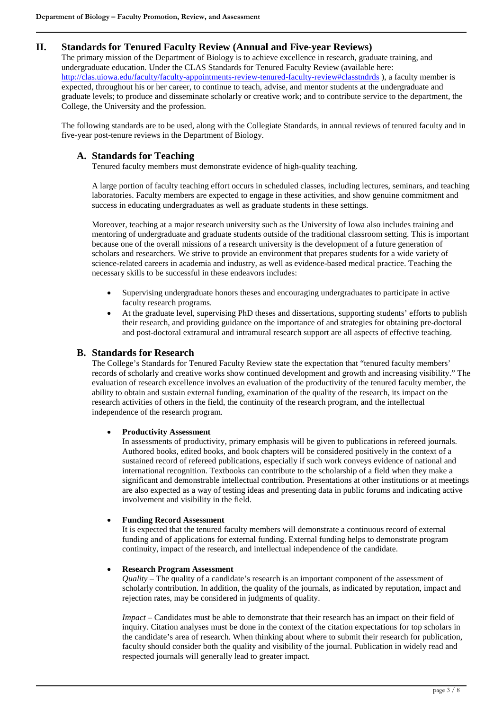# **II. Standards for Tenured Faculty Review (Annual and Five-year Reviews)**

The primary mission of the Department of Biology is to achieve excellence in research, graduate training, and undergraduate education. Under the CLAS Standards for Tenured Faculty Review (available here: [http://clas.uiowa.edu/faculty/faculty-appointments-review-tenured-faculty-review#classtndrds](http://clas.uiowa.edu/faculty/faculty-appointments-review-tenured-faculty-review%23classtndrds) ), a faculty member is expected, throughout his or her career, to continue to teach, advise, and mentor students at the undergraduate and graduate levels; to produce and disseminate scholarly or creative work; and to contribute service to the department, the College, the University and the profession.

The following standards are to be used, along with the Collegiate Standards, in annual reviews of tenured faculty and in five-year post-tenure reviews in the Department of Biology.

# **A. Standards for Teaching**

Tenured faculty members must demonstrate evidence of high-quality teaching.

A large portion of faculty teaching effort occurs in scheduled classes, including lectures, seminars, and teaching laboratories. Faculty members are expected to engage in these activities, and show genuine commitment and success in educating undergraduates as well as graduate students in these settings.

Moreover, teaching at a major research university such as the University of Iowa also includes training and mentoring of undergraduate and graduate students outside of the traditional classroom setting. This is important because one of the overall missions of a research university is the development of a future generation of scholars and researchers. We strive to provide an environment that prepares students for a wide variety of science-related careers in academia and industry, as well as evidence-based medical practice. Teaching the necessary skills to be successful in these endeavors includes:

- Supervising undergraduate honors theses and encouraging undergraduates to participate in active faculty research programs.
- At the graduate level, supervising PhD theses and dissertations, supporting students' efforts to publish their research, and providing guidance on the importance of and strategies for obtaining pre-doctoral and post-doctoral extramural and intramural research support are all aspects of effective teaching.

#### **B. Standards for Research**

The College's Standards for Tenured Faculty Review state the expectation that "tenured faculty members' records of scholarly and creative works show continued development and growth and increasing visibility." The evaluation of research excellence involves an evaluation of the productivity of the tenured faculty member, the ability to obtain and sustain external funding, examination of the quality of the research, its impact on the research activities of others in the field, the continuity of the research program, and the intellectual independence of the research program.

#### • **Productivity Assessment**

In assessments of productivity, primary emphasis will be given to publications in refereed journals. Authored books, edited books, and book chapters will be considered positively in the context of a sustained record of refereed publications, especially if such work conveys evidence of national and international recognition. Textbooks can contribute to the scholarship of a field when they make a significant and demonstrable intellectual contribution. Presentations at other institutions or at meetings are also expected as a way of testing ideas and presenting data in public forums and indicating active involvement and visibility in the field.

#### • **Funding Record Assessment**

It is expected that the tenured faculty members will demonstrate a continuous record of external funding and of applications for external funding. External funding helps to demonstrate program continuity, impact of the research, and intellectual independence of the candidate.

#### • **Research Program Assessment**

*Quality* – The quality of a candidate's research is an important component of the assessment of scholarly contribution. In addition, the quality of the journals, as indicated by reputation, impact and rejection rates, may be considered in judgments of quality.

*Impact* – Candidates must be able to demonstrate that their research has an impact on their field of inquiry. Citation analyses must be done in the context of the citation expectations for top scholars in the candidate's area of research. When thinking about where to submit their research for publication, faculty should consider both the quality and visibility of the journal. Publication in widely read and respected journals will generally lead to greater impact.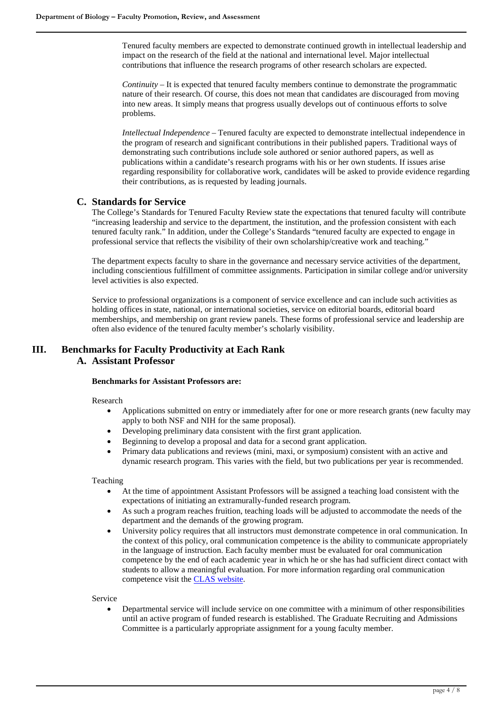Tenured faculty members are expected to demonstrate continued growth in intellectual leadership and impact on the research of the field at the national and international level. Major intellectual contributions that influence the research programs of other research scholars are expected.

*Continuity* – It is expected that tenured faculty members continue to demonstrate the programmatic nature of their research. Of course, this does not mean that candidates are discouraged from moving into new areas. It simply means that progress usually develops out of continuous efforts to solve problems.

*Intellectual Independence* – Tenured faculty are expected to demonstrate intellectual independence in the program of research and significant contributions in their published papers. Traditional ways of demonstrating such contributions include sole authored or senior authored papers, as well as publications within a candidate's research programs with his or her own students. If issues arise regarding responsibility for collaborative work, candidates will be asked to provide evidence regarding their contributions, as is requested by leading journals.

# **C. Standards for Service**

The College's Standards for Tenured Faculty Review state the expectations that tenured faculty will contribute "increasing leadership and service to the department, the institution, and the profession consistent with each tenured faculty rank." In addition, under the College's Standards "tenured faculty are expected to engage in professional service that reflects the visibility of their own scholarship/creative work and teaching."

The department expects faculty to share in the governance and necessary service activities of the department, including conscientious fulfillment of committee assignments. Participation in similar college and/or university level activities is also expected.

Service to professional organizations is a component of service excellence and can include such activities as holding offices in state, national, or international societies, service on editorial boards, editorial board memberships, and membership on grant review panels. These forms of professional service and leadership are often also evidence of the tenured faculty member's scholarly visibility.

# **III. Benchmarks for Faculty Productivity at Each Rank A. Assistant Professor**

#### **Benchmarks for Assistant Professors are:**

Research

- Applications submitted on entry or immediately after for one or more research grants (new faculty may apply to both NSF and NIH for the same proposal).
- Developing preliminary data consistent with the first grant application.
- Beginning to develop a proposal and data for a second grant application.
- Primary data publications and reviews (mini, maxi, or symposium) consistent with an active and dynamic research program. This varies with the field, but two publications per year is recommended.

Teaching

- At the time of appointment Assistant Professors will be assigned a teaching load consistent with the expectations of initiating an extramurally-funded research program.
- As such a program reaches fruition, teaching loads will be adjusted to accommodate the needs of the department and the demands of the growing program.
- University policy requires that all instructors must demonstrate competence in oral communication. In the context of this policy, oral communication competence is the ability to communicate appropriately in the language of instruction. Each faculty member must be evaluated for oral communication competence by the end of each academic year in which he or she has had sufficient direct contact with students to allow a meaningful evaluation. For more information regarding oral communication competence visit the [CLAS website.](http://clas.uiowa.edu/faculty/professional-policies-faculty-responsibilities-oral-communication-competence)

Service

• Departmental service will include service on one committee with a minimum of other responsibilities until an active program of funded research is established. The Graduate Recruiting and Admissions Committee is a particularly appropriate assignment for a young faculty member.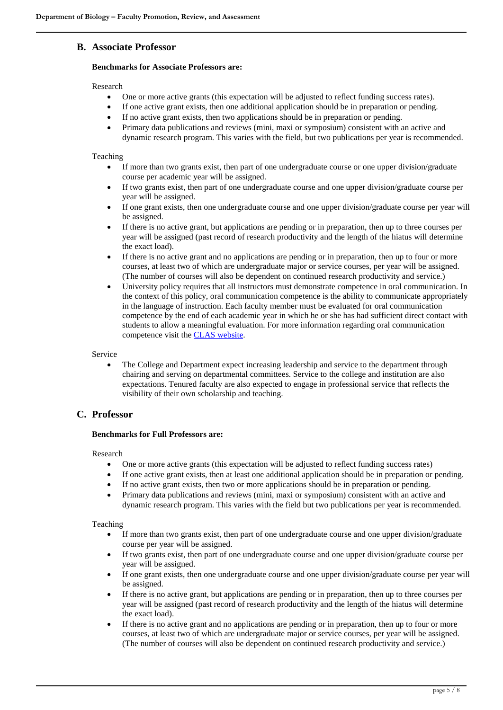# **B. Associate Professor**

#### **Benchmarks for Associate Professors are:**

Research

- One or more active grants (this expectation will be adjusted to reflect funding success rates).
- If one active grant exists, then one additional application should be in preparation or pending.
- If no active grant exists, then two applications should be in preparation or pending.
- Primary data publications and reviews (mini, maxi or symposium) consistent with an active and dynamic research program. This varies with the field, but two publications per year is recommended.

#### Teaching

- If more than two grants exist, then part of one undergraduate course or one upper division/graduate course per academic year will be assigned.
- If two grants exist, then part of one undergraduate course and one upper division/graduate course per year will be assigned.
- If one grant exists, then one undergraduate course and one upper division/graduate course per year will be assigned.
- If there is no active grant, but applications are pending or in preparation, then up to three courses per year will be assigned (past record of research productivity and the length of the hiatus will determine the exact load).
- If there is no active grant and no applications are pending or in preparation, then up to four or more courses, at least two of which are undergraduate major or service courses, per year will be assigned. (The number of courses will also be dependent on continued research productivity and service.)
- University policy requires that all instructors must demonstrate competence in oral communication. In the context of this policy, oral communication competence is the ability to communicate appropriately in the language of instruction. Each faculty member must be evaluated for oral communication competence by the end of each academic year in which he or she has had sufficient direct contact with students to allow a meaningful evaluation. For more information regarding oral communication competence visit th[e CLAS website.](http://clas.uiowa.edu/faculty/professional-policies-faculty-responsibilities-oral-communication-competence)

Service

• The College and Department expect increasing leadership and service to the department through chairing and serving on departmental committees. Service to the college and institution are also expectations. Tenured faculty are also expected to engage in professional service that reflects the visibility of their own scholarship and teaching.

### **C. Professor**

#### **Benchmarks for Full Professors are:**

Research

- One or more active grants (this expectation will be adjusted to reflect funding success rates)
- If one active grant exists, then at least one additional application should be in preparation or pending.
- If no active grant exists, then two or more applications should be in preparation or pending.
- Primary data publications and reviews (mini, maxi or symposium) consistent with an active and dynamic research program. This varies with the field but two publications per year is recommended.

#### Teaching

- If more than two grants exist, then part of one undergraduate course and one upper division/graduate course per year will be assigned.
- If two grants exist, then part of one undergraduate course and one upper division/graduate course per year will be assigned.
- If one grant exists, then one undergraduate course and one upper division/graduate course per year will be assigned.
- If there is no active grant, but applications are pending or in preparation, then up to three courses per year will be assigned (past record of research productivity and the length of the hiatus will determine the exact load).
- If there is no active grant and no applications are pending or in preparation, then up to four or more courses, at least two of which are undergraduate major or service courses, per year will be assigned. (The number of courses will also be dependent on continued research productivity and service.)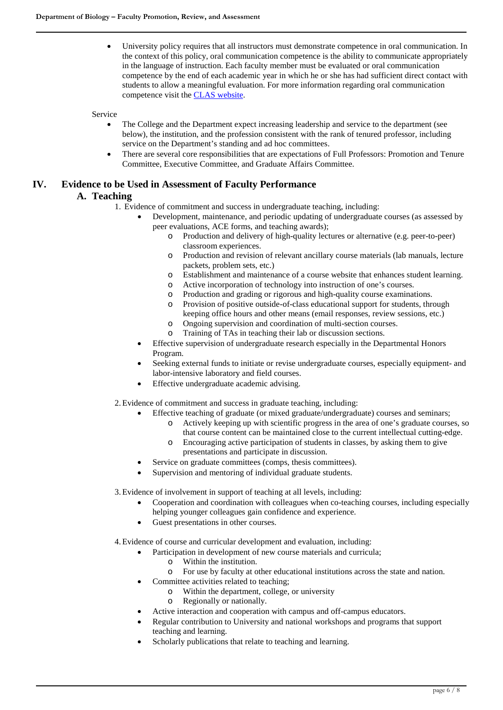• University policy requires that all instructors must demonstrate competence in oral communication. In the context of this policy, oral communication competence is the ability to communicate appropriately in the language of instruction. Each faculty member must be evaluated or oral communication competence by the end of each academic year in which he or she has had sufficient direct contact with students to allow a meaningful evaluation. For more information regarding oral communication competence visit th[e CLAS website.](http://clas.uiowa.edu/faculty/professional-policies-faculty-responsibilities-oral-communication-competence)

#### Service

- The College and the Department expect increasing leadership and service to the department (see below), the institution, and the profession consistent with the rank of tenured professor, including service on the Department's standing and ad hoc committees.
- There are several core responsibilities that are expectations of Full Professors: Promotion and Tenure Committee, Executive Committee, and Graduate Affairs Committee.

# **IV. Evidence to be Used in Assessment of Faculty Performance**

# **A. Teaching**

- 1. Evidence of commitment and success in undergraduate teaching, including:
	- Development, maintenance, and periodic updating of undergraduate courses (as assessed by peer evaluations, ACE forms, and teaching awards);
		- o Production and delivery of high-quality lectures or alternative (e.g. peer-to-peer) classroom experiences.
		- o Production and revision of relevant ancillary course materials (lab manuals, lecture packets, problem sets, etc.)
		- o Establishment and maintenance of a course website that enhances student learning.
		- o Active incorporation of technology into instruction of one's courses.
		- o Production and grading or rigorous and high-quality course examinations.<br>
		Provision of positive outside-of-class educational support for students, three
		- Provision of positive outside-of-class educational support for students, through keeping office hours and other means (email responses, review sessions, etc.)
		- o Ongoing supervision and coordination of multi-section courses.<br>  $\circ$  Training of TAs in teaching their lab or discussion sections.
		- Training of TAs in teaching their lab or discussion sections.
	- Effective supervision of undergraduate research especially in the Departmental Honors Program.
	- Seeking external funds to initiate or revise undergraduate courses, especially equipment- and labor-intensive laboratory and field courses.
	- Effective undergraduate academic advising.
- 2.Evidence of commitment and success in graduate teaching, including:
	- Effective teaching of graduate (or mixed graduate/undergraduate) courses and seminars;
		- o Actively keeping up with scientific progress in the area of one's graduate courses, so that course content can be maintained close to the current intellectual cutting-edge.
		- o Encouraging active participation of students in classes, by asking them to give presentations and participate in discussion.
	- Service on graduate committees (comps, thesis committees).
	- Supervision and mentoring of individual graduate students.

3.Evidence of involvement in support of teaching at all levels, including:

- Cooperation and coordination with colleagues when co-teaching courses, including especially helping younger colleagues gain confidence and experience.
- Guest presentations in other courses.
- 4.Evidence of course and curricular development and evaluation, including:
	- Participation in development of new course materials and curricula;
		- $\circ$  Within the institution.<br> $\circ$  For use by faculty at o
		- For use by faculty at other educational institutions across the state and nation.
	- Committee activities related to teaching;
		- $\circ$  Within the department, college, or university  $\circ$  Regionally or nationally.
			- Regionally or nationally.
	- Active interaction and cooperation with campus and off-campus educators.
	- Regular contribution to University and national workshops and programs that support teaching and learning.
	- Scholarly publications that relate to teaching and learning.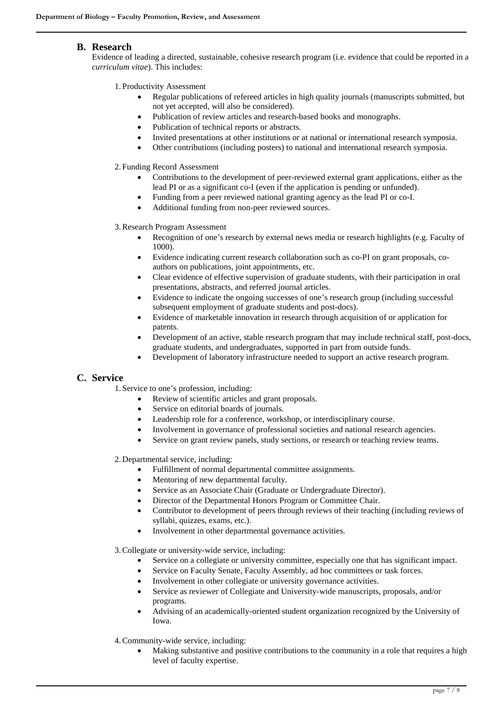### **B. Research**

Evidence of leading a directed, sustainable, cohesive research program (i.e. evidence that could be reported in a *curriculum vitae*). This includes:

1. Productivity Assessment

- Regular publications of refereed articles in high quality journals (manuscripts submitted, but not yet accepted, will also be considered).
- Publication of review articles and research-based books and monographs.
- Publication of technical reports or abstracts.
- Invited presentations at other institutions or at national or international research symposia.
- Other contributions (including posters) to national and international research symposia.

2. Funding Record Assessment

- Contributions to the development of peer-reviewed external grant applications, either as the lead PI or as a significant co-I (even if the application is pending or unfunded).
- Funding from a peer reviewed national granting agency as the lead PI or co-I.
- Additional funding from non-peer reviewed sources.

3.Research Program Assessment

- Recognition of one's research by external news media or research highlights (e.g. Faculty of 1000).
- Evidence indicating current research collaboration such as co-PI on grant proposals, coauthors on publications, joint appointments, etc.
- Clear evidence of effective supervision of graduate students, with their participation in oral presentations, abstracts, and referred journal articles.
- Evidence to indicate the ongoing successes of one's research group (including successful subsequent employment of graduate students and post-docs).
- Evidence of marketable innovation in research through acquisition of or application for patents.
- Development of an active, stable research program that may include technical staff, post-docs, graduate students, and undergraduates, supported in part from outside funds.
- Development of laboratory infrastructure needed to support an active research program.

# **C. Service**

1. Service to one's profession, including:

- Review of scientific articles and grant proposals.
- Service on editorial boards of journals.
- Leadership role for a conference, workshop, or interdisciplinary course.
- Involvement in governance of professional societies and national research agencies.
- Service on grant review panels, study sections, or research or teaching review teams.
- 2. Departmental service, including:
	- Fulfillment of normal departmental committee assignments.
	- Mentoring of new departmental faculty.
	- Service as an Associate Chair (Graduate or Undergraduate Director).
	- Director of the Departmental Honors Program or Committee Chair.
	- Contributor to development of peers through reviews of their teaching (including reviews of syllabi, quizzes, exams, etc.).
	- Involvement in other departmental governance activities.

3.Collegiate or university-wide service, including:

- Service on a collegiate or university committee, especially one that has significant impact.
- Service on Faculty Senate, Faculty Assembly, ad hoc committees or task forces.
- Involvement in other collegiate or university governance activities.
- Service as reviewer of Collegiate and University-wide manuscripts, proposals, and/or programs.
- Advising of an academically-oriented student organization recognized by the University of Iowa.
- 4.Community-wide service, including:
	- Making substantive and positive contributions to the community in a role that requires a high level of faculty expertise.